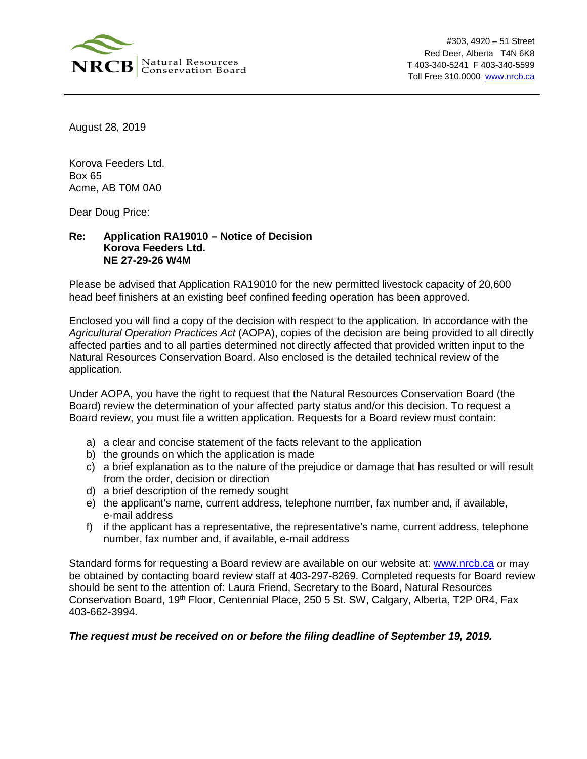

#303, 4920 – 51 Street Red Deer, Alberta T4N 6K8 T 403-340-5241 F 403-340-5599 Toll Free 310.0000 [www.nrcb.ca](http://www.nrcb.ca/)

August 28, 2019

Korova Feeders Ltd. Box 65 Acme, AB T0M 0A0

Dear Doug Price:

## **Re: Application RA19010 – Notice of Decision Korova Feeders Ltd. NE 27-29-26 W4M**

Please be advised that Application RA19010 for the new permitted livestock capacity of 20,600 head beef finishers at an existing beef confined feeding operation has been approved.

Enclosed you will find a copy of the decision with respect to the application. In accordance with the *Agricultural Operation Practices Act* (AOPA), copies of the decision are being provided to all directly affected parties and to all parties determined not directly affected that provided written input to the Natural Resources Conservation Board. Also enclosed is the detailed technical review of the application.

Under AOPA, you have the right to request that the Natural Resources Conservation Board (the Board) review the determination of your affected party status and/or this decision. To request a Board review, you must file a written application. Requests for a Board review must contain:

- a) a clear and concise statement of the facts relevant to the application
- b) the grounds on which the application is made
- c) a brief explanation as to the nature of the prejudice or damage that has resulted or will result from the order, decision or direction
- d) a brief description of the remedy sought
- e) the applicant's name, current address, telephone number, fax number and, if available, e-mail address
- f) if the applicant has a representative, the representative's name, current address, telephone number, fax number and, if available, e-mail address

Standard forms for requesting a Board review are available on our website at: [www.nrcb.ca](http://www.nrcb.ca/) or may be obtained by contacting board review staff at 403-297-8269. Completed requests for Board review should be sent to the attention of: Laura Friend, Secretary to the Board, Natural Resources Conservation Board, 19<sup>th</sup> Floor, Centennial Place, 250 5 St. SW, Calgary, Alberta, T2P 0R4, Fax 403-662-3994.

## *The request must be received on or before the filing deadline of September 19, 2019.*